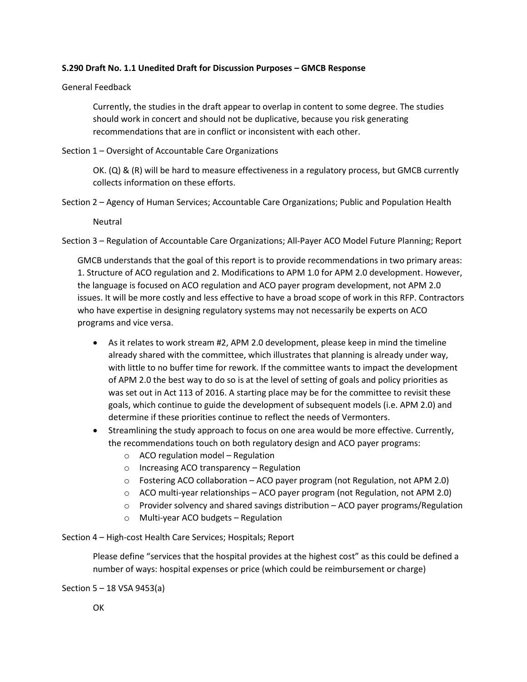## **S.290 Draft No. 1.1 Unedited Draft for Discussion Purposes – GMCB Response**

## General Feedback

Currently, the studies in the draft appear to overlap in content to some degree. The studies should work in concert and should not be duplicative, because you risk generating recommendations that are in conflict or inconsistent with each other.

## Section 1 – Oversight of Accountable Care Organizations

OK. (Q) & (R) will be hard to measure effectiveness in a regulatory process, but GMCB currently collects information on these efforts.

Section 2 – Agency of Human Services; Accountable Care Organizations; Public and Population Health

Neutral

Section 3 – Regulation of Accountable Care Organizations; All-Payer ACO Model Future Planning; Report

GMCB understands that the goal of this report is to provide recommendations in two primary areas: 1. Structure of ACO regulation and 2. Modifications to APM 1.0 for APM 2.0 development. However, the language is focused on ACO regulation and ACO payer program development, not APM 2.0 issues. It will be more costly and less effective to have a broad scope of work in this RFP. Contractors who have expertise in designing regulatory systems may not necessarily be experts on ACO programs and vice versa.

- As it relates to work stream #2, APM 2.0 development, please keep in mind the timeline already shared with the committee, which illustrates that planning is already under way, with little to no buffer time for rework. If the committee wants to impact the development of APM 2.0 the best way to do so is at the level of setting of goals and policy priorities as was set out in Act 113 of 2016. A starting place may be for the committee to revisit these goals, which continue to guide the development of subsequent models (i.e. APM 2.0) and determine if these priorities continue to reflect the needs of Vermonters.
- Streamlining the study approach to focus on one area would be more effective. Currently, the recommendations touch on both regulatory design and ACO payer programs:
	- o ACO regulation model Regulation
	- o Increasing ACO transparency Regulation
	- $\circ$  Fostering ACO collaboration ACO payer program (not Regulation, not APM 2.0)
	- o ACO multi-year relationships ACO payer program (not Regulation, not APM 2.0)
	- $\circ$  Provider solvency and shared savings distribution ACO payer programs/Regulation
	- o Multi-year ACO budgets Regulation
- Section 4 High-cost Health Care Services; Hospitals; Report

Please define "services that the hospital provides at the highest cost" as this could be defined a number of ways: hospital expenses or price (which could be reimbursement or charge)

Section 5 – 18 VSA 9453(a)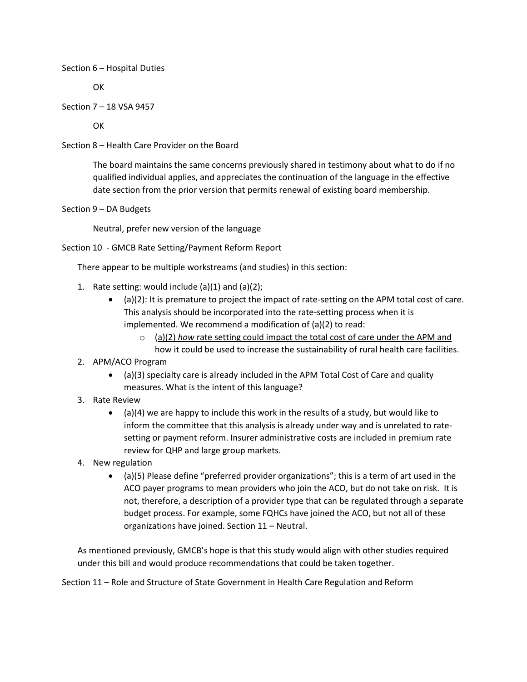## Section 6 – Hospital Duties

**OK** 

Section 7 – 18 VSA 9457

**OK** 

Section 8 – Health Care Provider on the Board

The board maintains the same concerns previously shared in testimony about what to do if no qualified individual applies, and appreciates the continuation of the language in the effective date section from the prior version that permits renewal of existing board membership.

Section 9 – DA Budgets

Neutral, prefer new version of the language

Section 10 - GMCB Rate Setting/Payment Reform Report

There appear to be multiple workstreams (and studies) in this section:

- 1. Rate setting: would include  $(a)(1)$  and  $(a)(2)$ ;
	- (a)(2): It is premature to project the impact of rate-setting on the APM total cost of care. This analysis should be incorporated into the rate-setting process when it is implemented. We recommend a modification of (a)(2) to read:
		- o (a)(2) *how* rate setting could impact the total cost of care under the APM and how it could be used to increase the sustainability of rural health care facilities.
- 2. APM/ACO Program
	- (a)(3) specialty care is already included in the APM Total Cost of Care and quality measures. What is the intent of this language?
- 3. Rate Review
	- $\bullet$  (a)(4) we are happy to include this work in the results of a study, but would like to inform the committee that this analysis is already under way and is unrelated to ratesetting or payment reform. Insurer administrative costs are included in premium rate review for QHP and large group markets.
- 4. New regulation
	- (a)(5) Please define "preferred provider organizations"; this is a term of art used in the ACO payer programs to mean providers who join the ACO, but do not take on risk. It is not, therefore, a description of a provider type that can be regulated through a separate budget process. For example, some FQHCs have joined the ACO, but not all of these organizations have joined. Section 11 – Neutral.

As mentioned previously, GMCB's hope is that this study would align with other studies required under this bill and would produce recommendations that could be taken together.

Section 11 – Role and Structure of State Government in Health Care Regulation and Reform